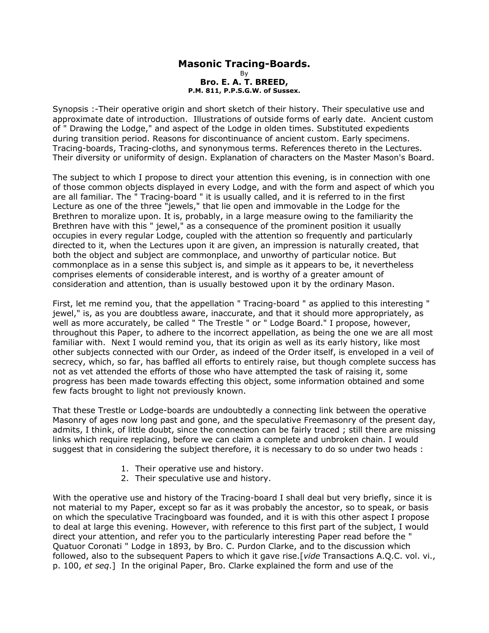## **Masonic Tracing-Boards.** By **Bro. E. A. T. BREED, P.M. 811, P.P.S.G.W. of Sussex.**

Synopsis :-Their operative origin and short sketch of their history. Their speculative use and approximate date of introduction. Illustrations of outside forms of early date. Ancient custom of " Drawing the Lodge," and aspect of the Lodge in olden times. Substituted expedients during transition period. Reasons for discontinuance of ancient custom. Early specimens. Tracing-boards, Tracing-cloths, and synonymous terms. References thereto in the Lectures. Their diversity or uniformity of design. Explanation of characters on the Master Mason's Board.

The subject to which I propose to direct your attention this evening, is in connection with one of those common objects displayed in every Lodge, and with the form and aspect of which you are all familiar. The " Tracing-board " it is usually called, and it is referred to in the first Lecture as one of the three "jewels," that lie open and immovable in the Lodge for the Brethren to moralize upon. It is, probably, in a large measure owing to the familiarity the Brethren have with this " jewel," as a consequence of the prominent position it usually occupies in every regular Lodge, coupled with the attention so frequently and particularly directed to it, when the Lectures upon it are given, an impression is naturally created, that both the object and subject are commonplace, and unworthy of particular notice. But commonplace as in a sense this subject is, and simple as it appears to be, it nevertheless comprises elements of considerable interest, and is worthy of a greater amount of consideration and attention, than is usually bestowed upon it by the ordinary Mason.

First, let me remind you, that the appellation " Tracing-board " as applied to this interesting " jewel," is, as you are doubtless aware, inaccurate, and that it should more appropriately, as well as more accurately, be called " The Trestle " or " Lodge Board." I propose, however, throughout this Paper, to adhere to the incorrect appellation, as being the one we are all most familiar with. Next I would remind you, that its origin as well as its early history, like most other subjects connected with our Order, as indeed of the Order itself, is enveloped in a veil of secrecy, which, so far, has baffled all efforts to entirely raise, but though complete success has not as vet attended the efforts of those who have attempted the task of raising it, some progress has been made towards effecting this object, some information obtained and some few facts brought to light not previously known.

That these Trestle or Lodge-boards are undoubtedly a connecting link between the operative Masonry of ages now long past and gone, and the speculative Freemasonry of the present day, admits, I think, of little doubt, since the connection can be fairly traced ; still there are missing links which require replacing, before we can claim a complete and unbroken chain. I would suggest that in considering the subject therefore, it is necessary to do so under two heads :

- 1. Their operative use and history.
- 2. Their speculative use and history.

With the operative use and history of the Tracing-board I shall deal but very briefly, since it is not material to my Paper, except so far as it was probably the ancestor, so to speak, or basis on which the speculative Tracingboard was founded, and it is with this other aspect I propose to deal at large this evening. However, with reference to this first part of the subject, I would direct your attention, and refer you to the particularly interesting Paper read before the " Quatuor Coronati " Lodge in 1893, by Bro. C. Purdon Clarke, and to the discussion which followed, also to the subsequent Papers to which it gave rise.[*vide* Transactions A.Q.C. vol. vi., p. 100, *et seq*.] In the original Paper, Bro. Clarke explained the form and use of the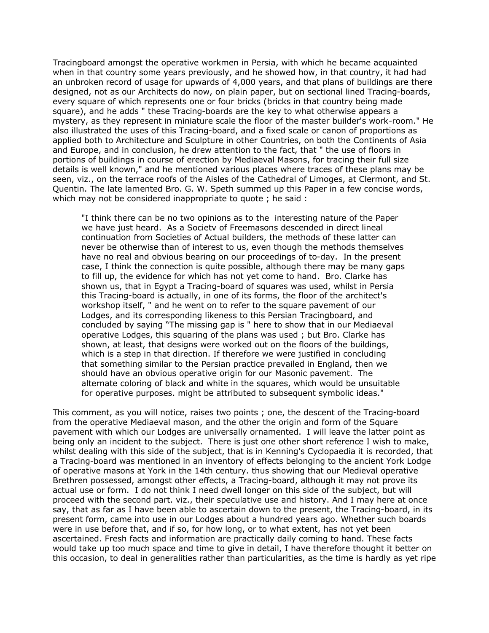Tracingboard amongst the operative workmen in Persia, with which he became acquainted when in that country some years previously, and he showed how, in that country, it had had an unbroken record of usage for upwards of 4,000 years, and that plans of buildings are there designed, not as our Architects do now, on plain paper, but on sectional lined Tracing-boards, every square of which represents one or four bricks (bricks in that country being made square), and he adds " these Tracing-boards are the key to what otherwise appears a mystery, as they represent in miniature scale the floor of the master builder's work-room." He also illustrated the uses of this Tracing-board, and a fixed scale or canon of proportions as applied both to Architecture and Sculpture in other Countries, on both the Continents of Asia and Europe, and in conclusion, he drew attention to the fact, that " the use of floors in portions of buildings in course of erection by Mediaeval Masons, for tracing their full size details is well known," and he mentioned various places where traces of these plans may be seen, viz., on the terrace roofs of the Aisles of the Cathedral of Limoges, at Clermont, and St. Quentin. The late lamented Bro. G. W. Speth summed up this Paper in a few concise words, which may not be considered inappropriate to quote ; he said :

"I think there can be no two opinions as to the interesting nature of the Paper we have just heard. As a Societv of Freemasons descended in direct lineal continuation from Societies of Actual builders, the methods of these latter can never be otherwise than of interest to us, even though the methods themselves have no real and obvious bearing on our proceedings of to-day. In the present case, I think the connection is quite possible, although there may be many gaps to fill up, the evidence for which has not yet come to hand. Bro. Clarke has shown us, that in Egypt a Tracing-board of squares was used, whilst in Persia this Tracing-board is actually, in one of its forms, the floor of the architect's workshop itself, " and he went on to refer to the square pavement of our Lodges, and its corresponding likeness to this Persian Tracingboard, and concluded by saying "The missing gap is " here to show that in our Mediaeval operative Lodges, this squaring of the plans was used ; but Bro. Clarke has shown, at least, that designs were worked out on the floors of the buildings, which is a step in that direction. If therefore we were justified in concluding that something similar to the Persian practice prevailed in England, then we should have an obvious operative origin for our Masonic pavement. The alternate coloring of black and white in the squares, which would be unsuitable for operative purposes. might be attributed to subsequent symbolic ideas."

This comment, as you will notice, raises two points ; one, the descent of the Tracing-board from the operative Mediaeval mason, and the other the origin and form of the Square pavement with which our Lodges are universally ornamented. I will leave the latter point as being only an incident to the subject. There is just one other short reference I wish to make, whilst dealing with this side of the subject, that is in Kenning's Cyclopaedia it is recorded, that a Tracing-board was mentioned in an inventory of effects belonging to the ancient York Lodge of operative masons at York in the 14th century. thus showing that our Medieval operative Brethren possessed, amongst other effects, a Tracing-board, although it may not prove its actual use or form. I do not think I need dwell longer on this side of the subject, but will proceed with the second part. viz., their speculative use and history. And I may here at once say, that as far as I have been able to ascertain down to the present, the Tracing-board, in its present form, came into use in our Lodges about a hundred years ago. Whether such boards were in use before that, and if so, for how long, or to what extent, has not yet been ascertained. Fresh facts and information are practically daily coming to hand. These facts would take up too much space and time to give in detail, I have therefore thought it better on this occasion, to deal in generalities rather than particularities, as the time is hardly as yet ripe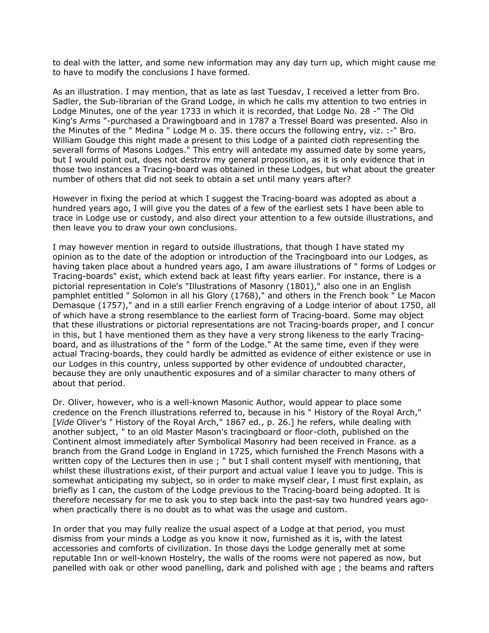to deal with the latter, and some new information may any day turn up, which might cause me to have to modify the conclusions I have formed.

As an illustration. I may mention, that as late as last Tuesdav, I received a letter from Bro. Sadler, the Sub-librarian of the Grand Lodge, in which he calls my attention to two entries in Lodge Minutes, one of the year 1733 in which it is recorded, that Lodge No. 28 -" The Old King's Arms "-purchased a Drawingboard and in 1787 a Tressel Board was presented. Also in the Minutes of the " Medina " Lodge M o. 35. there occurs the following entry, viz. :-" Bro. William Goudge this night made a present to this Lodge of a painted cloth representing the severall forms of Masons Lodges." This entry will antedate my assumed date by some years, but I would point out, does not destrov my general proposition, as it is only evidence that in those two instances a Tracing-board was obtained in these Lodges, but what about the greater number of others that did not seek to obtain a set until many years after?

However in fixing the period at which I suggest the Tracing-board was adopted as about a hundred years ago, I will give you the dates of a few of the earliest sets I have been able to trace in Lodge use or custody, and also direct your attention to a few outside illustrations, and then leave you to draw your own conclusions.

I may however mention in regard to outside illustrations, that though I have stated my opinion as to the date of the adoption or introduction of the Tracingboard into our Lodges, as having taken place about a hundred years ago, I am aware illustrations of " forms of Lodges or Tracing-boards" exist, which extend back at least fifty years earlier. For instance, there is a pictorial representation in Cole's "Illustrations of Masonry (1801)," also one in an English pamphlet entitled " Solomon in all his Glory (1768)," and others in the French book " Le Macon Demasque (1757)," and in a still earlier French engraving of a Lodge interior of about 1750, all of which have a strong resemblance to the earliest form of Tracing-board. Some may object that these illustrations or pictorial representations are not Tracing-boards proper, and I concur in this, but I have mentioned them as they have a very strong likeness to the early Tracingboard, and as illustrations of the " form of the Lodge." At the same time, even if they were actual Tracing-boards, they could hardly be admitted as evidence of either existence or use in our Lodges in this country, unless supported by other evidence of undoubted character, because they are only unauthentic exposures and of a similar character to many others of about that period.

Dr. Oliver, however, who is a well-known Masonic Author, would appear to place some credence on the French illustrations referred to, because in his " History of the Royal Arch," [*Vide* Oliver's " History of the Royal Arch," 1867 ed., p. 26.] he refers, while dealing with another subject, " to an old Master Mason's tracingboard or floor-cloth, published on the Continent almost immediately after Symbolical Masonry had been received in France. as a branch from the Grand Lodge in England in 1725, which furnished the French Masons with a written copy of the Lectures then in use; " but I shall content myself with mentioning, that whilst these illustrations exist, of their purport and actual value I leave you to judge. This is somewhat anticipating my subject, so in order to make myself clear, I must first explain, as briefly as I can, the custom of the Lodge previous to the Tracing-board being adopted. It is therefore necessary for me to ask you to step back into the past-say two hundred years agowhen practically there is no doubt as to what was the usage and custom.

In order that you may fully realize the usual aspect of a Lodge at that period, you must dismiss from your minds a Lodge as you know it now, furnished as it is, with the latest accessories and comforts of civilization. In those days the Lodge generally met at some reputable Inn or well-known Hostelry, the walls of the rooms were not papered as now, but panelled with oak or other wood panelling, dark and polished with age ; the beams and rafters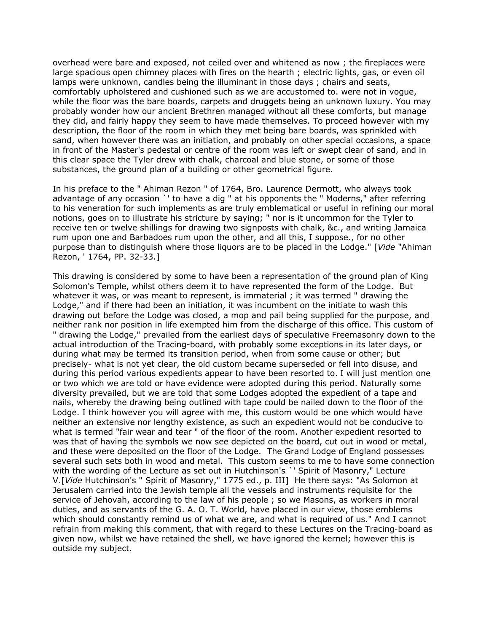overhead were bare and exposed, not ceiled over and whitened as now ; the fireplaces were large spacious open chimney places with fires on the hearth ; electric lights, gas, or even oil lamps were unknown, candles being the illuminant in those days ; chairs and seats, comfortably upholstered and cushioned such as we are accustomed to. were not in vogue, while the floor was the bare boards, carpets and druggets being an unknown luxury. You may probably wonder how our ancient Brethren managed without all these comforts, but manage they did, and fairly happy they seem to have made themselves. To proceed however with my description, the floor of the room in which they met being bare boards, was sprinkled with sand, when however there was an initiation, and probably on other special occasions, a space in front of the Master's pedestal or centre of the room was left or swept clear of sand, and in this clear space the Tyler drew with chalk, charcoal and blue stone, or some of those substances, the ground plan of a building or other geometrical figure.

In his preface to the " Ahiman Rezon " of 1764, Bro. Laurence Dermott, who always took advantage of any occasion `' to have a dig " at his opponents the " Moderns," after referring to his veneration for such implements as are truly emblematical or useful in refining our moral notions, goes on to illustrate his stricture by saying; " nor is it uncommon for the Tyler to receive ten or twelve shillings for drawing two signposts with chalk, &c., and writing Jamaica rum upon one and Barbadoes rum upon the other, and all this, I suppose., for no other purpose than to distinguish where those liquors are to be placed in the Lodge." [*Vide* "Ahiman Rezon, ' 1764, PP. 32-33.]

This drawing is considered by some to have been a representation of the ground plan of King Solomon's Temple, whilst others deem it to have represented the form of the Lodge. But whatever it was, or was meant to represent, is immaterial ; it was termed " drawing the Lodge," and if there had been an initiation, it was incumbent on the initiate to wash this drawing out before the Lodge was closed, a mop and pail being supplied for the purpose, and neither rank nor position in life exempted him from the discharge of this office. This custom of " drawing the Lodge," prevailed from the earliest days of speculative Freemasonry down to the actual introduction of the Tracing-board, with probably some exceptions in its later days, or during what may be termed its transition period, when from some cause or other; but precisely- what is not yet clear, the old custom became superseded or fell into disuse, and during this period various expedients appear to have been resorted to. I will just mention one or two which we are told or have evidence were adopted during this period. Naturally some diversity prevailed, but we are told that some Lodges adopted the expedient of a tape and nails, whereby the drawing being outlined with tape could be nailed down to the floor of the Lodge. I think however you will agree with me, this custom would be one which would have neither an extensive nor lengthy existence, as such an expedient would not be conducive to what is termed "fair wear and tear " of the floor of the room. Another expedient resorted to was that of having the symbols we now see depicted on the board, cut out in wood or metal, and these were deposited on the floor of the Lodge. The Grand Lodge of England possesses several such sets both in wood and metal. This custom seems to me to have some connection with the wording of the Lecture as set out in Hutchinson's `' Spirit of Masonry," Lecture V.[*Vide* Hutchinson's " Spirit of Masonry," 1775 ed., p. III] He there says: "As Solomon at Jerusalem carried into the Jewish temple all the vessels and instruments requisite for the service of Jehovah, according to the law of his people ; so we Masons, as workers in moral duties, and as servants of the G. A. O. T. World, have placed in our view, those emblems which should constantly remind us of what we are, and what is required of us." And I cannot refrain from making this comment, that with regard to these Lectures on the Tracing-board as given now, whilst we have retained the shell, we have ignored the kernel; however this is outside my subject.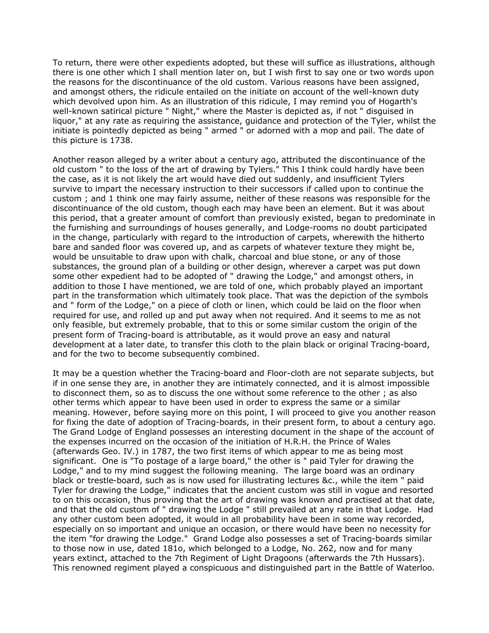To return, there were other expedients adopted, but these will suffice as illustrations, although there is one other which I shall mention later on, but I wish first to say one or two words upon the reasons for the discontinuance of the old custom. Various reasons have been assigned, and amongst others, the ridicule entailed on the initiate on account of the well-known duty which devolved upon him. As an illustration of this ridicule, I may remind you of Hogarth's well-known satirical picture " Night," where the Master is depicted as, if not " disguised in liquor," at any rate as requiring the assistance, guidance and protection of the Tyler, whilst the initiate is pointedly depicted as being " armed " or adorned with a mop and pail. The date of this picture is 1738.

Another reason alleged by a writer about a century ago, attributed the discontinuance of the old custom " to the loss of the art of drawing by Tylers." This I think could hardly have been the case, as it is not likely the art would have died out suddenly, and insufficient Tylers survive to impart the necessary instruction to their successors if called upon to continue the custom ; and 1 think one may fairly assume, neither of these reasons was responsible for the discontinuance of the old custom, though each may have been an element. But it was about this period, that a greater amount of comfort than previously existed, began to predominate in the furnishing and surroundings of houses generally, and Lodge-rooms no doubt participated in the change, particularly with regard to the introduction of carpets, wherewith the hitherto bare and sanded floor was covered up, and as carpets of whatever texture they might be, would be unsuitable to draw upon with chalk, charcoal and blue stone, or any of those substances, the ground plan of a building or other design, wherever a carpet was put down some other expedient had to be adopted of " drawing the Lodge," and amongst others, in addition to those I have mentioned, we are told of one, which probably played an important part in the transformation which ultimately took place. That was the depiction of the symbols and " form of the Lodge," on a piece of cloth or linen, which could be laid on the floor when required for use, and rolled up and put away when not required. And it seems to me as not only feasible, but extremely probable, that to this or some similar custom the origin of the present form of Tracing-board is attributable, as it would prove an easy and natural development at a later date, to transfer this cloth to the plain black or original Tracing-board, and for the two to become subsequently combined.

It may be a question whether the Tracing-board and Floor-cloth are not separate subjects, but if in one sense they are, in another they are intimately connected, and it is almost impossible to disconnect them, so as to discuss the one without some reference to the other ; as also other terms which appear to have been used in order to express the same or a similar meaning. However, before saying more on this point, I will proceed to give you another reason for fixing the date of adoption of Tracing-boards, in their present form, to about a century ago. The Grand Lodge of England possesses an interesting document in the shape of the account of the expenses incurred on the occasion of the initiation of H.R.H. the Prince of Wales (afterwards Geo. IV.) in 1787, the two first items of which appear to me as being most significant. One is "To postage of a large board," the other is " paid Tyler for drawing the Lodge," and to my mind suggest the following meaning. The large board was an ordinary black or trestle-board, such as is now used for illustrating lectures &c., while the item " paid Tyler for drawing the Lodge," indicates that the ancient custom was still in vogue and resorted to on this occasion, thus proving that the art of drawing was known and practised at that date, and that the old custom of " drawing the Lodge " still prevailed at any rate in that Lodge. Had any other custom been adopted, it would in all probability have been in some way recorded, especially on so important and unique an occasion, or there would have been no necessity for the item "for drawing the Lodge." Grand Lodge also possesses a set of Tracing-boards similar to those now in use, dated 181o, which belonged to a Lodge, No. 262, now and for many years extinct, attached to the 7th Regiment of Light Dragoons (afterwards the 7th Hussars). This renowned regiment played a conspicuous and distinguished part in the Battle of Waterloo.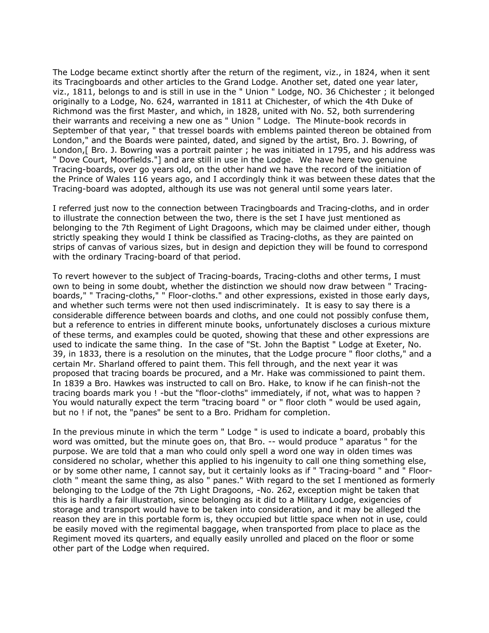The Lodge became extinct shortly after the return of the regiment, viz., in 1824, when it sent its Tracingboards and other articles to the Grand Lodge. Another set, dated one year later, viz., 1811, belongs to and is still in use in the " Union " Lodge, NO. 36 Chichester ; it belonged originally to a Lodge, No. 624, warranted in 1811 at Chichester, of which the 4th Duke of Richmond was the first Master, and which, in 1828, united with No. 52, both surrendering their warrants and receiving a new one as " Union " Lodge. The Minute-book records in September of that year, " that tressel boards with emblems painted thereon be obtained from London," and the Boards were painted, dated, and signed by the artist, Bro. J. Bowring, of London,[ Bro. J. Bowring was a portrait painter ; he was initiated in 1795, and his address was " Dove Court, Moorfields."] and are still in use in the Lodge. We have here two genuine Tracing-boards, over go years old, on the other hand we have the record of the initiation of the Prince of Wales 116 years ago, and I accordingly think it was between these dates that the Tracing-board was adopted, although its use was not general until some years later.

I referred just now to the connection between Tracingboards and Tracing-cloths, and in order to illustrate the connection between the two, there is the set I have just mentioned as belonging to the 7th Regiment of Light Dragoons, which may be claimed under either, though strictly speaking they would I think be classified as Tracing-cloths, as they are painted on strips of canvas of various sizes, but in design and depiction they will be found to correspond with the ordinary Tracing-board of that period.

To revert however to the subject of Tracing-boards, Tracing-cloths and other terms, I must own to being in some doubt, whether the distinction we should now draw between " Tracingboards," " Tracing-cloths," " Floor-cloths." and other expressions, existed in those early days, and whether such terms were not then used indiscriminately. It is easy to say there is a considerable difference between boards and cloths, and one could not possibly confuse them, but a reference to entries in different minute books, unfortunately discloses a curious mixture of these terms, and examples could be quoted, showing that these and other expressions are used to indicate the same thing. In the case of "St. John the Baptist " Lodge at Exeter, No. 39, in 1833, there is a resolution on the minutes, that the Lodge procure " floor cloths," and a certain Mr. Sharland offered to paint them. This fell through, and the next year it was proposed that tracing boards be procured, and a Mr. Hake was commissioned to paint them. In 1839 a Bro. Hawkes was instructed to call on Bro. Hake, to know if he can finish-not the tracing boards mark you ! -but the "floor-cloths" immediately, if not, what was to happen ? You would naturally expect the term "tracing board " or " floor cloth " would be used again, but no ! if not, the "panes" be sent to a Bro. Pridham for completion.

In the previous minute in which the term " Lodge " is used to indicate a board, probably this word was omitted, but the minute goes on, that Bro. -- would produce " aparatus " for the purpose. We are told that a man who could only spell a word one way in olden times was considered no scholar, whether this applied to his ingenuity to call one thing something else, or by some other name, I cannot say, but it certainly looks as if " Tracing-board " and " Floorcloth " meant the same thing, as also " panes." With regard to the set I mentioned as formerly belonging to the Lodge of the 7th Light Dragoons, -No. 262, exception might be taken that this is hardly a fair illustration, since belonging as it did to a Military Lodge, exigencies of storage and transport would have to be taken into consideration, and it may be alleged the reason they are in this portable form is, they occupied but little space when not in use, could be easily moved with the regimental baggage, when transported from place to place as the Regiment moved its quarters, and equally easily unrolled and placed on the floor or some other part of the Lodge when required.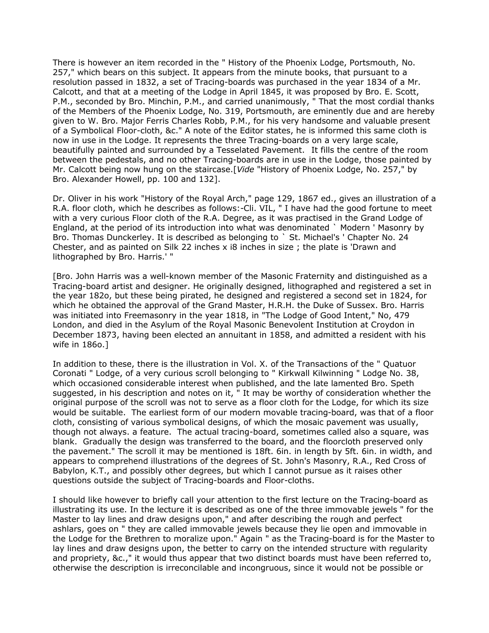There is however an item recorded in the " History of the Phoenix Lodge, Portsmouth, No. 257," which bears on this subject. It appears from the minute books, that pursuant to a resolution passed in 1832, a set of Tracing-boards was purchased in the year 1834 of a Mr. Calcott, and that at a meeting of the Lodge in April 1845, it was proposed by Bro. E. Scott, P.M., seconded by Bro. Minchin, P.M., and carried unanimously, " That the most cordial thanks of the Members of the Phoenix Lodge, No. 319, Portsmouth, are eminently due and are hereby given to W. Bro. Major Ferris Charles Robb, P.M., for his very handsome and valuable present of a Symbolical Floor-cloth, &c." A note of the Editor states, he is informed this same cloth is now in use in the Lodge. It represents the three Tracing-boards on a very large scale, beautifully painted and surrounded by a Tesselated Pavement. It fills the centre of the room between the pedestals, and no other Tracing-boards are in use in the Lodge, those painted by Mr. Calcott being now hung on the staircase.[*Vide* "History of Phoenix Lodge, No. 257," by Bro. Alexander Howell, pp. 100 and 132].

Dr. Oliver in his work "History of the Royal Arch," page 129, 1867 ed., gives an illustration of a R.A. floor cloth, which he describes as follows:-Cli. VIL, " I have had the good fortune to meet with a very curious Floor cloth of the R.A. Degree, as it was practised in the Grand Lodge of England, at the period of its introduction into what was denominated ` Modern ' Masonry by Bro. Thomas Dunckerley. It is described as belonging to ` St. Michael's ' Chapter No. 24 Chester, and as painted on Silk 22 inches x i8 inches in size ; the plate is 'Drawn and lithographed by Bro. Harris.' "

[Bro. John Harris was a well-known member of the Masonic Fraternity and distinguished as a Tracing-board artist and designer. He originally designed, lithographed and registered a set in the year 182o, but these being pirated, he designed and registered a second set in 1824, for which he obtained the approval of the Grand Master, H.R.H. the Duke of Sussex. Bro. Harris was initiated into Freemasonry in the year 1818, in "The Lodge of Good Intent," No, 479 London, and died in the Asylum of the Royal Masonic Benevolent Institution at Croydon in December 1873, having been elected an annuitant in 1858, and admitted a resident with his wife in 186o.]

In addition to these, there is the illustration in Vol. X. of the Transactions of the " Quatuor Coronati " Lodge, of a very curious scroll belonging to " Kirkwall Kilwinning " Lodge No. 38, which occasioned considerable interest when published, and the late lamented Bro. Speth suggested, in his description and notes on it, "It may be worthy of consideration whether the original purpose of the scroll was not to serve as a floor cloth for the Lodge, for which its size would be suitable. The earliest form of our modern movable tracing-board, was that of a floor cloth, consisting of various symbolical designs, of which the mosaic pavement was usually, though not always. a feature. The actual tracing-board, sometimes called also a square, was blank. Gradually the design was transferred to the board, and the floorcloth preserved only the pavement." The scroll it may be mentioned is 18ft. 6in. in length by 5ft. 6in. in width, and appears to comprehend illustrations of the degrees of St. John's Masonry, R.A., Red Cross of Babylon, K.T., and possibly other degrees, but which I cannot pursue as it raises other questions outside the subject of Tracing-boards and Floor-cloths.

I should like however to briefly call your attention to the first lecture on the Tracing-board as illustrating its use. In the lecture it is described as one of the three immovable jewels " for the Master to lay lines and draw designs upon," and after describing the rough and perfect ashlars, goes on " they are called immovable jewels because they lie open and immovable in the Lodge for the Brethren to moralize upon." Again " as the Tracing-board is for the Master to lay lines and draw designs upon, the better to carry on the intended structure with regularity and propriety, &c.," it would thus appear that two distinct boards must have been referred to, otherwise the description is irreconcilable and incongruous, since it would not be possible or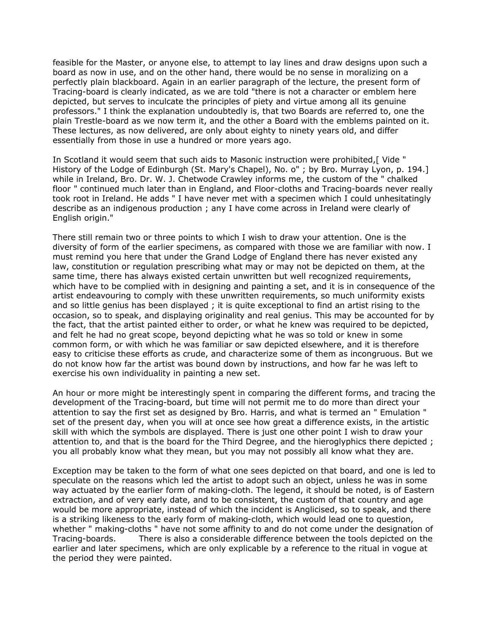feasible for the Master, or anyone else, to attempt to lay lines and draw designs upon such a board as now in use, and on the other hand, there would be no sense in moralizing on a perfectly plain blackboard. Again in an earlier paragraph of the lecture, the present form of Tracing-board is clearly indicated, as we are told "there is not a character or emblem here depicted, but serves to inculcate the principles of piety and virtue among all its genuine professors." I think the explanation undoubtedly is, that two Boards are referred to, one the plain Trestle-board as we now term it, and the other a Board with the emblems painted on it. These lectures, as now delivered, are only about eighty to ninety years old, and differ essentially from those in use a hundred or more years ago.

In Scotland it would seem that such aids to Masonic instruction were prohibited, [ Vide " History of the Lodge of Edinburgh (St. Mary's Chapel), No. o" ; by Bro. Murray Lyon, p. 194.] while in Ireland, Bro. Dr. W. J. Chetwode Crawley informs me, the custom of the " chalked floor " continued much later than in England, and Floor-cloths and Tracing-boards never really took root in Ireland. He adds " I have never met with a specimen which I could unhesitatingly describe as an indigenous production ; any I have come across in Ireland were clearly of English origin."

There still remain two or three points to which I wish to draw your attention. One is the diversity of form of the earlier specimens, as compared with those we are familiar with now. I must remind you here that under the Grand Lodge of England there has never existed any law, constitution or regulation prescribing what may or may not be depicted on them, at the same time, there has always existed certain unwritten but well recognized requirements, which have to be complied with in designing and painting a set, and it is in consequence of the artist endeavouring to comply with these unwritten requirements, so much uniformity exists and so little genius has been displayed ; it is quite exceptional to find an artist rising to the occasion, so to speak, and displaying originality and real genius. This may be accounted for by the fact, that the artist painted either to order, or what he knew was required to be depicted, and felt he had no great scope, beyond depicting what he was so told or knew in some common form, or with which he was familiar or saw depicted elsewhere, and it is therefore easy to criticise these efforts as crude, and characterize some of them as incongruous. But we do not know how far the artist was bound down by instructions, and how far he was left to exercise his own individuality in painting a new set.

An hour or more might be interestingly spent in comparing the different forms, and tracing the development of the Tracing-board, but time will not permit me to do more than direct your attention to say the first set as designed by Bro. Harris, and what is termed an " Emulation " set of the present day, when you will at once see how great a difference exists, in the artistic skill with which the symbols are displayed. There is just one other point I wish to draw your attention to, and that is the board for the Third Degree, and the hieroglyphics there depicted ; you all probably know what they mean, but you may not possibly all know what they are.

Exception may be taken to the form of what one sees depicted on that board, and one is led to speculate on the reasons which led the artist to adopt such an object, unless he was in some way actuated by the earlier form of making-cloth. The legend, it should be noted, is of Eastern extraction, and of very early date, and to be consistent, the custom of that country and age would be more appropriate, instead of which the incident is Anglicised, so to speak, and there is a striking likeness to the early form of making-cloth, which would lead one to question, whether " making-cloths " have not some affinity to and do not come under the designation of Tracing-boards. There is also a considerable difference between the tools depicted on the earlier and later specimens, which are only explicable by a reference to the ritual in vogue at the period they were painted.